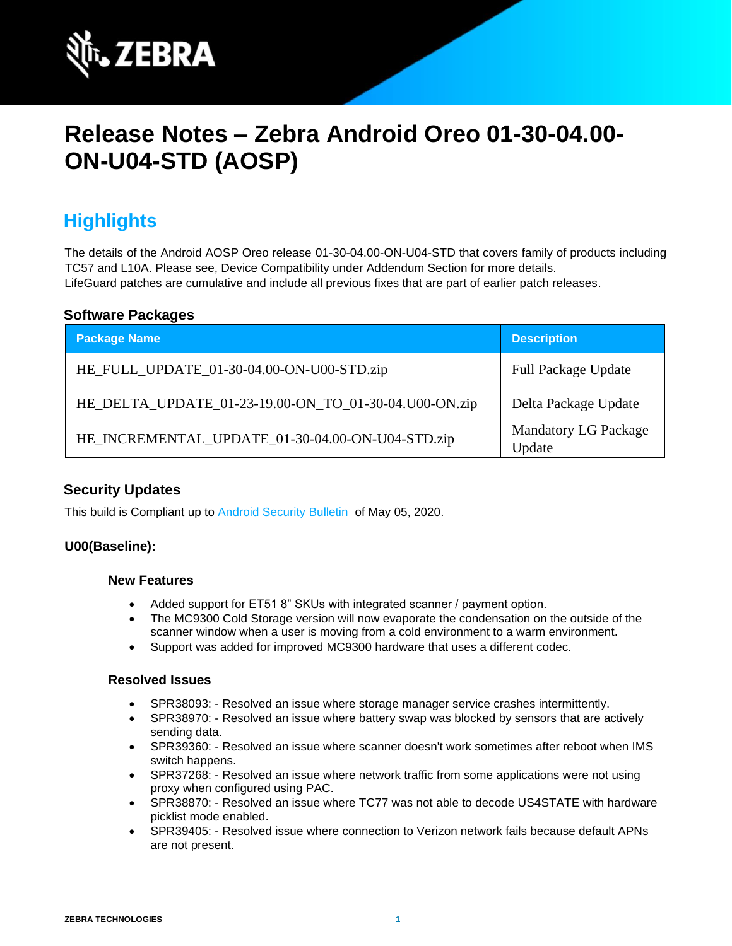

# **Release Notes – Zebra Android Oreo 01-30-04.00- ON-U04-STD (AOSP)**

# **Highlights**

The details of the Android AOSP Oreo release 01-30-04.00-ON-U04-STD that covers family of products including TC57 and L10A. Please see, Device Compatibility under Addendum Section for more details. LifeGuard patches are cumulative and include all previous fixes that are part of earlier patch releases.

#### **Software Packages**

| <b>Package Name</b>                                   | <b>Description</b>                    |
|-------------------------------------------------------|---------------------------------------|
| HE_FULL_UPDATE_01-30-04.00-ON-U00-STD.zip             | <b>Full Package Update</b>            |
| HE_DELTA_UPDATE_01-23-19.00-ON_TO_01-30-04.U00-ON.zip | Delta Package Update                  |
| HE_INCREMENTAL_UPDATE_01-30-04.00-ON-U04-STD.zip      | <b>Mandatory LG Package</b><br>Update |

#### **Security Updates**

This build is Compliant up to [Android Security Bulletin](https://source.android.com/security/bulletin/) of May 05, 2020.

#### **U00(Baseline):**

#### **New Features**

- Added support for ET51 8" SKUs with integrated scanner / payment option.
- The MC9300 Cold Storage version will now evaporate the condensation on the outside of the scanner window when a user is moving from a cold environment to a warm environment.
- Support was added for improved MC9300 hardware that uses a different codec.

#### **Resolved Issues**

- SPR38093: Resolved an issue where storage manager service crashes intermittently.
- SPR38970: Resolved an issue where battery swap was blocked by sensors that are actively sending data.
- SPR39360: Resolved an issue where scanner doesn't work sometimes after reboot when IMS switch happens.
- SPR37268: Resolved an issue where network traffic from some applications were not using proxy when configured using PAC.
- SPR38870: Resolved an issue where TC77 was not able to decode US4STATE with hardware picklist mode enabled.
- SPR39405: Resolved issue where connection to Verizon network fails because default APNs are not present.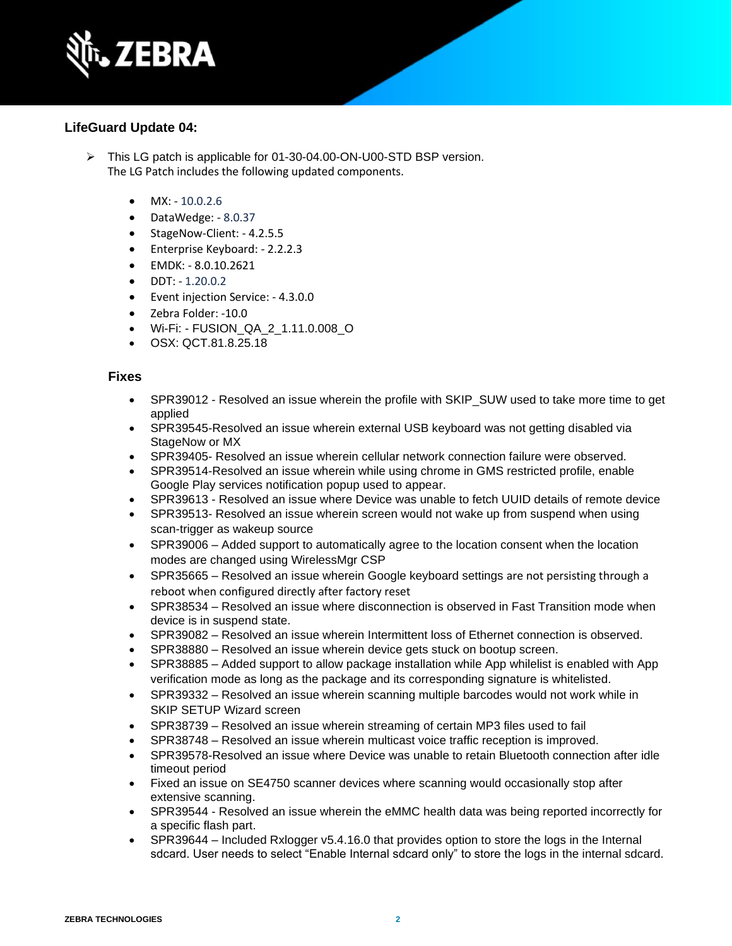

#### **LifeGuard Update 04:**

- ➢ This LG patch is applicable for 01-30-04.00-ON-U00-STD BSP version. The LG Patch includes the following updated components.
	- $MX: -10.0.2.6$
	- DataWedge: 8.0.37
	- StageNow-Client: 4.2.5.5
	- Enterprise Keyboard: 2.2.2.3
	- EMDK: 8.0.10.2621
	- $\bullet$  DDT:  $-1.20.0.2$
	- Event injection Service: 4.3.0.0
	- Zebra Folder: -10.0
	- Wi-Fi: FUSION\_QA\_2\_1.11.0.008\_O
	- OSX: QCT.81.8.25.18

#### **Fixes**

- SPR39012 Resolved an issue wherein the profile with SKIP SUW used to take more time to get applied
- SPR39545-Resolved an issue wherein external USB keyboard was not getting disabled via StageNow or MX
- SPR39405- Resolved an issue wherein cellular network connection failure were observed.
- SPR39514-Resolved an issue wherein while using chrome in GMS restricted profile, enable Google Play services notification popup used to appear.
- SPR39613 Resolved an issue where Device was unable to fetch UUID details of remote device
- SPR39513- Resolved an issue wherein screen would not wake up from suspend when using scan-trigger as wakeup source
- SPR39006 Added support to automatically agree to the location consent when the location modes are changed using WirelessMgr CSP
- SPR35665 Resolved an issue wherein Google keyboard settings are not persisting through a reboot when configured directly after factory reset
- SPR38534 Resolved an issue where disconnection is observed in Fast Transition mode when device is in suspend state.
- SPR39082 Resolved an issue wherein Intermittent loss of Ethernet connection is observed.
- SPR38880 Resolved an issue wherein device gets stuck on bootup screen.
- SPR38885 Added support to allow package installation while App whilelist is enabled with App verification mode as long as the package and its corresponding signature is whitelisted.
- SPR39332 Resolved an issue wherein scanning multiple barcodes would not work while in SKIP SETUP Wizard screen
- SPR38739 Resolved an issue wherein streaming of certain MP3 files used to fail
- SPR38748 Resolved an issue wherein multicast voice traffic reception is improved.
- SPR39578-Resolved an issue where Device was unable to retain Bluetooth connection after idle timeout period
- Fixed an issue on SE4750 scanner devices where scanning would occasionally stop after extensive scanning.
- SPR39544 Resolved an issue wherein the eMMC health data was being reported incorrectly for a specific flash part.
- SPR39644 Included Rxlogger v5.4.16.0 that provides option to store the logs in the Internal sdcard. User needs to select "Enable Internal sdcard only" to store the logs in the internal sdcard.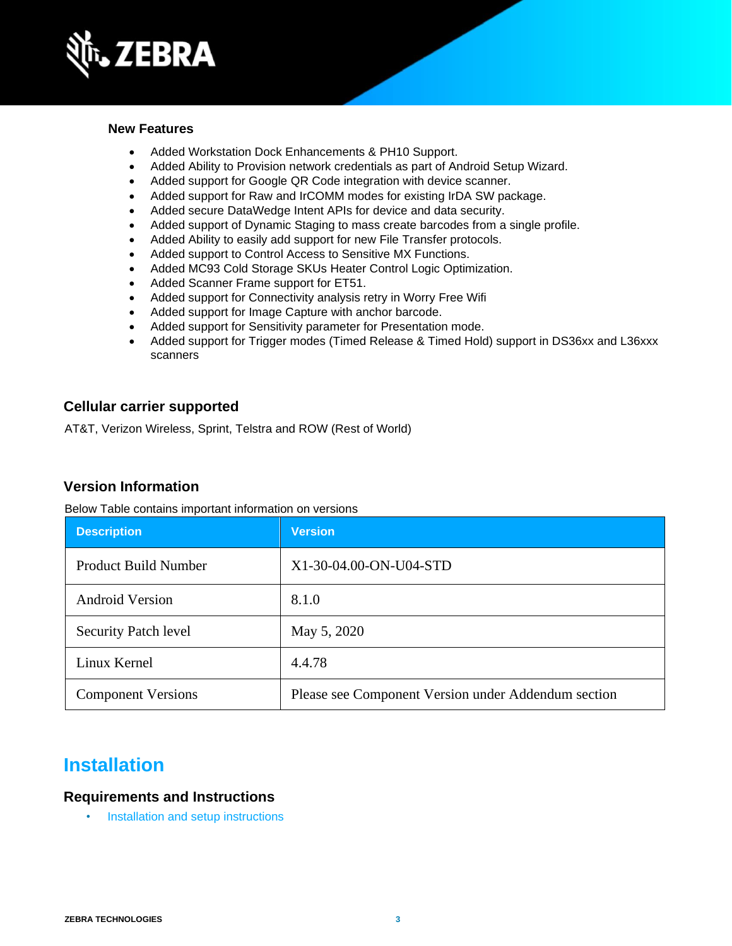

#### **New Features**

- Added Workstation Dock Enhancements & PH10 Support.
- Added Ability to Provision network credentials as part of Android Setup Wizard.
- Added support for Google QR Code integration with device scanner.
- Added support for Raw and IrCOMM modes for existing IrDA SW package.
- Added secure DataWedge Intent APIs for device and data security.
- Added support of Dynamic Staging to mass create barcodes from a single profile.
- Added Ability to easily add support for new File Transfer protocols.
- Added support to Control Access to Sensitive MX Functions.
- Added MC93 Cold Storage SKUs Heater Control Logic Optimization.
- Added Scanner Frame support for ET51.
- Added support for Connectivity analysis retry in Worry Free Wifi
- Added support for Image Capture with anchor barcode.
- Added support for Sensitivity parameter for Presentation mode.
- Added support for Trigger modes (Timed Release & Timed Hold) support in DS36xx and L36xxx scanners

#### **Cellular carrier supported**

AT&T, Verizon Wireless, Sprint, Telstra and ROW (Rest of World)

#### **Version Information**

Below Table contains important information on versions

| <b>Description</b>          | <b>Version</b>                                      |
|-----------------------------|-----------------------------------------------------|
| <b>Product Build Number</b> | X1-30-04.00-ON-U04-STD                              |
| <b>Android Version</b>      | 8.1.0                                               |
| <b>Security Patch level</b> | May 5, 2020                                         |
| Linux Kernel                | 4.4.78                                              |
| <b>Component Versions</b>   | Please see Component Version under Addendum section |

### **Installation**

#### **Requirements and Instructions**

• [Installation and setup instructions](https://www.zebra.com/content/dam/zebra_new_ia/en-us/software/operating-system/helios/oreo-os-update-instructions.pdf)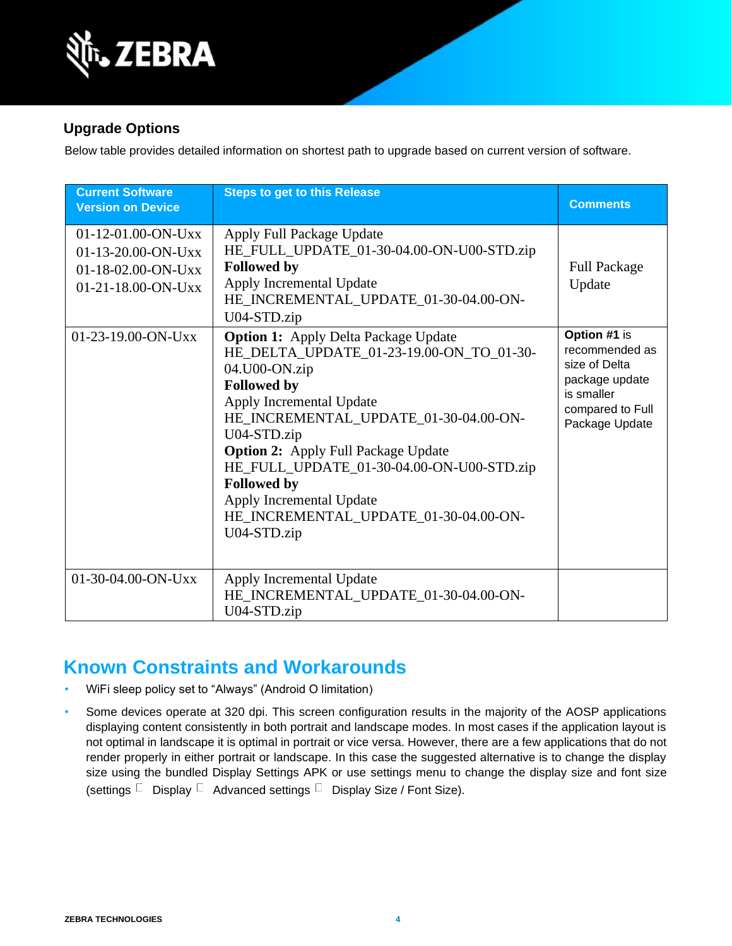

### **Upgrade Options**

Below table provides detailed information on shortest path to upgrade based on current version of software.

| <b>Current Software</b><br><b>Version on Device</b>                                        | <b>Steps to get to this Release</b>                                                                                                                                                                                                                                                                                                                                                                                     | <b>Comments</b>                                                                                                       |
|--------------------------------------------------------------------------------------------|-------------------------------------------------------------------------------------------------------------------------------------------------------------------------------------------------------------------------------------------------------------------------------------------------------------------------------------------------------------------------------------------------------------------------|-----------------------------------------------------------------------------------------------------------------------|
| $01-12-01.00-ON-Uxx$<br>$01-13-20.00-ON-Uxx$<br>01-18-02.00-ON-Uxx<br>$01-21-18.00-ON-UXX$ | Apply Full Package Update<br>HE_FULL_UPDATE_01-30-04.00-ON-U00-STD.zip<br><b>Followed by</b><br>Apply Incremental Update<br>HE_INCREMENTAL_UPDATE_01-30-04.00-ON-<br>U04-STD.zip                                                                                                                                                                                                                                        | <b>Full Package</b><br>Update                                                                                         |
| 01-23-19.00-ON-Uxx                                                                         | <b>Option 1:</b> Apply Delta Package Update<br>HE_DELTA_UPDATE_01-23-19.00-ON_TO_01-30-<br>04.U00-ON.zip<br><b>Followed by</b><br>Apply Incremental Update<br>HE_INCREMENTAL_UPDATE_01-30-04.00-ON-<br>U04-STD.zip<br><b>Option 2:</b> Apply Full Package Update<br>HE_FULL_UPDATE_01-30-04.00-ON-U00-STD.zip<br><b>Followed by</b><br>Apply Incremental Update<br>HE_INCREMENTAL_UPDATE_01-30-04.00-ON-<br>U04-STD.zip | Option #1 is<br>recommended as<br>size of Delta<br>package update<br>is smaller<br>compared to Full<br>Package Update |
| $01-30-04.00-ON-UXX$                                                                       | Apply Incremental Update<br>HE_INCREMENTAL_UPDATE_01-30-04.00-ON-<br>U04-STD.zip                                                                                                                                                                                                                                                                                                                                        |                                                                                                                       |

### **Known Constraints and Workarounds**

- WiFi sleep policy set to "Always" (Android O limitation)
- Some devices operate at 320 dpi. This screen configuration results in the majority of the AOSP applications displaying content consistently in both portrait and landscape modes. In most cases if the application layout is not optimal in landscape it is optimal in portrait or vice versa. However, there are a few applications that do not render properly in either portrait or landscape. In this case the suggested alternative is to change the display size using the bundled Display Settings APK or use settings menu to change the display size and font size (settings  $\Box$  Display  $\Box$  Advanced settings  $\Box$  Display Size / Font Size).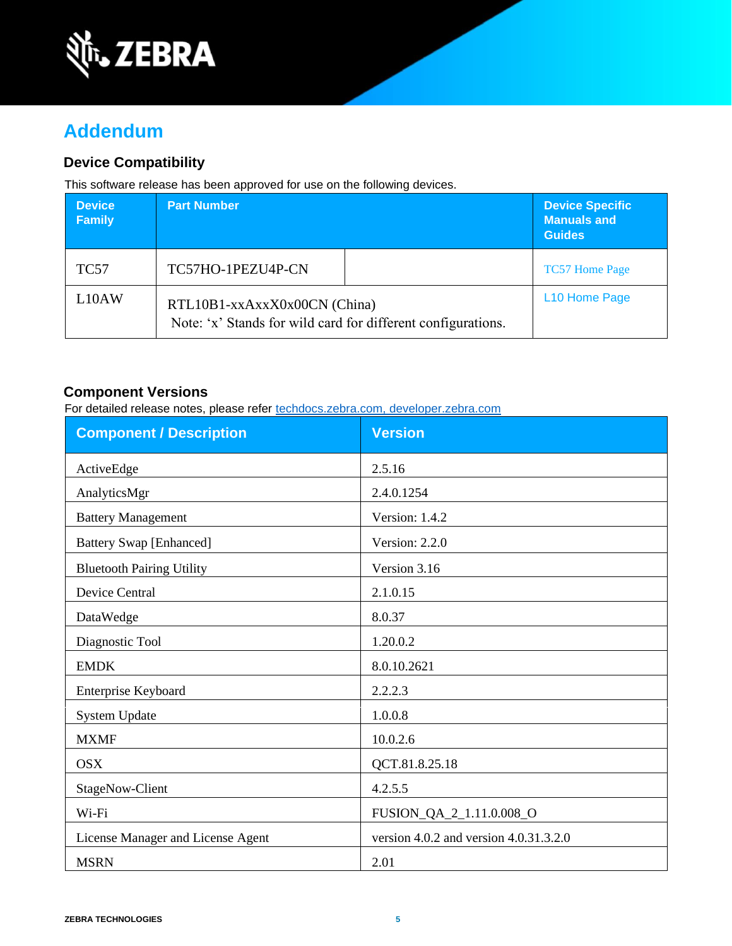

# **Addendum**

### **Device Compatibility**

This software release has been approved for use on the following devices.

| <b>Device</b><br><b>Family</b> | <b>Part Number</b>                                                                           | <b>Device Specific</b><br><b>Manuals and</b><br><b>Guides</b> |
|--------------------------------|----------------------------------------------------------------------------------------------|---------------------------------------------------------------|
| <b>TC57</b>                    | TC57HO-1PEZU4P-CN                                                                            | <b>TC57 Home Page</b>                                         |
| L10AW                          | RTL10B1-xxAxxX0x00CN (China)<br>Note: 'x' Stands for wild card for different configurations. | L <sub>10</sub> Home Page                                     |

#### **Component Versions**

For detailed release notes, please refer [techdocs.zebra.com,](https://techdocs.zebra.com/) [developer.zebra.com](https://developer.zebra.com/)

| <b>Component / Description</b>    | <b>Version</b>                             |
|-----------------------------------|--------------------------------------------|
| ActiveEdge                        | 2.5.16                                     |
| AnalyticsMgr                      | 2.4.0.1254                                 |
| <b>Battery Management</b>         | Version: 1.4.2                             |
| <b>Battery Swap [Enhanced]</b>    | Version: 2.2.0                             |
| <b>Bluetooth Pairing Utility</b>  | Version 3.16                               |
| <b>Device Central</b>             | 2.1.0.15                                   |
| DataWedge                         | 8.0.37                                     |
| Diagnostic Tool                   | 1.20.0.2                                   |
| <b>EMDK</b>                       | 8.0.10.2621                                |
| Enterprise Keyboard               | 2.2.2.3                                    |
| System Update                     | 1.0.0.8                                    |
| <b>MXMF</b>                       | 10.0.2.6                                   |
| <b>OSX</b>                        | QCT.81.8.25.18                             |
| StageNow-Client                   | 4.2.5.5                                    |
| Wi-Fi                             | FUSION_QA_2_1.11.0.008_O                   |
| License Manager and License Agent | version $4.0.2$ and version $4.0.31.3.2.0$ |
| <b>MSRN</b>                       | 2.01                                       |